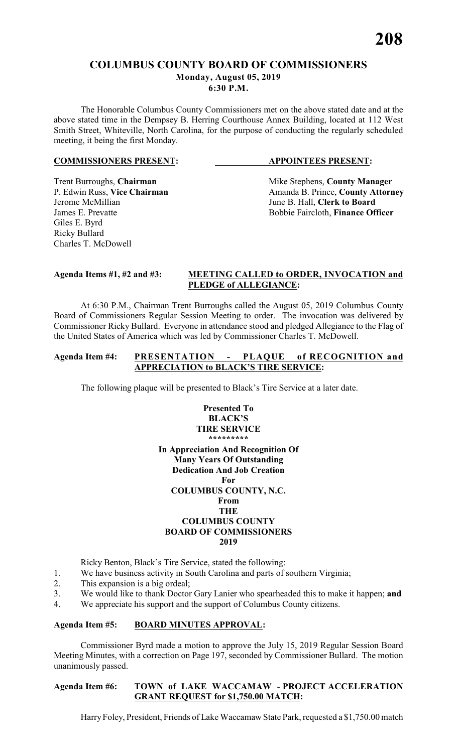# **COLUMBUS COUNTY BOARD OF COMMISSIONERS Monday, August 05, 2019**

**6:30 P.M.**

The Honorable Columbus County Commissioners met on the above stated date and at the above stated time in the Dempsey B. Herring Courthouse Annex Building, located at 112 West Smith Street, Whiteville, North Carolina, for the purpose of conducting the regularly scheduled meeting, it being the first Monday.

# **COMMISSIONERS PRESENT: APPOINTEES PRESENT:**

Jerome McMillian June B. Hall, **Clerk to Board** Giles E. Byrd Ricky Bullard Charles T. McDowell

Trent Burroughs, **Chairman** Mike Stephens, **County Manager** P. Edwin Russ, Vice Chairman Manager Amanda B. Prince, **County Attorn** P. Edwin Russ, **Vice Chairman** Amanda B. Prince, **County Attorney** James E. Prevatte **Bobbie Faircloth**, **Finance Officer** 

# **Agenda Items #1, #2 and #3: MEETING CALLED to ORDER, INVOCATION and PLEDGE of ALLEGIANCE:**

At 6:30 P.M., Chairman Trent Burroughs called the August 05, 2019 Columbus County Board of Commissioners Regular Session Meeting to order. The invocation was delivered by Commissioner Ricky Bullard. Everyone in attendance stood and pledged Allegiance to the Flag of the United States of America which was led by Commissioner Charles T. McDowell.

# **Agenda Item #4: PRESENTATION - PLAQUE of RECOGNITION and APPRECIATION to BLACK'S TIRE SERVICE:**

The following plaque will be presented to Black's Tire Service at a later date.

# **Presented To BLACK'S TIRE SERVICE \*\*\*\*\*\*\*\*\***

**In Appreciation And Recognition Of Many Years Of Outstanding Dedication And Job Creation For COLUMBUS COUNTY, N.C. From THE COLUMBUS COUNTY**

# **BOARD OF COMMISSIONERS**

# **2019**

Ricky Benton, Black's Tire Service, stated the following:

- 1. We have business activity in South Carolina and parts of southern Virginia;
- 2. This expansion is a big ordeal;
- 3. We would like to thank Doctor Gary Lanier who spearheaded this to make it happen; **and**
- 4. We appreciate his support and the support of Columbus County citizens.

# **Agenda Item #5: BOARD MINUTES APPROVAL:**

Commissioner Byrd made a motion to approve the July 15, 2019 Regular Session Board Meeting Minutes, with a correction on Page 197, seconded by Commissioner Bullard. The motion unanimously passed.

# **Agenda Item #6: TOWN of LAKE WACCAMAW - PROJECT ACCELERATION GRANT REQUEST for \$1,750.00 MATCH:**

Harry Foley, President, Friends of Lake Waccamaw State Park, requested a \$1,750.00 match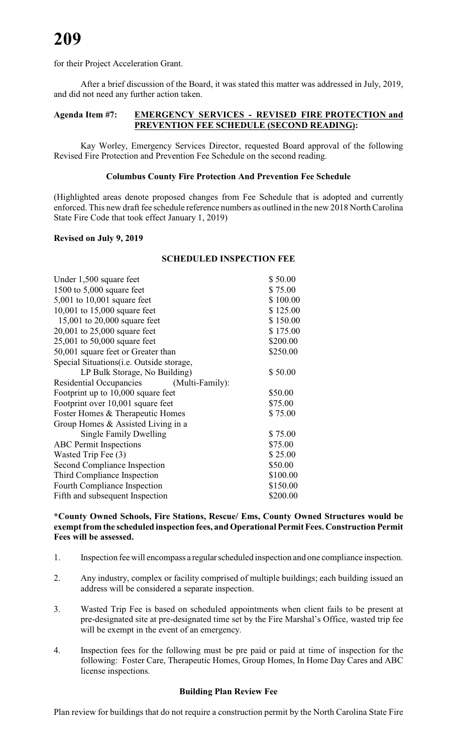for their Project Acceleration Grant.

After a brief discussion of the Board, it was stated this matter was addressed in July, 2019, and did not need any further action taken.

# **Agenda Item #7: EMERGENCY SERVICES - REVISED FIRE PROTECTION and PREVENTION FEE SCHEDULE (SECOND READING):**

Kay Worley, Emergency Services Director, requested Board approval of the following Revised Fire Protection and Prevention Fee Schedule on the second reading.

# **Columbus County Fire Protection And Prevention Fee Schedule**

(Highlighted areas denote proposed changes from Fee Schedule that is adopted and currently enforced. This new draft fee schedule reference numbers as outlined in the new 2018 North Carolina State Fire Code that took effect January 1, 2019)

# **Revised on July 9, 2019**

### **SCHEDULED INSPECTION FEE**

| Under 1,500 square feet                           | \$50.00  |
|---------------------------------------------------|----------|
| 1500 to $5,000$ square feet                       | \$75.00  |
| $5,001$ to $10,001$ square feet                   | \$100.00 |
| 10,001 to 15,000 square feet                      | \$125.00 |
| 15,001 to $20,000$ square feet                    | \$150.00 |
| 20,001 to $25,000$ square feet                    | \$175.00 |
| 25,001 to 50,000 square feet                      | \$200.00 |
| 50,001 square feet or Greater than                | \$250.00 |
| Special Situations ( <i>i.e.</i> Outside storage, |          |
| LP Bulk Storage, No Building)                     | \$50.00  |
| <b>Residential Occupancies</b><br>(Multi-Family): |          |
| Footprint up to 10,000 square feet                | \$50.00  |
| Footprint over 10,001 square feet                 | \$75.00  |
| Foster Homes & Therapeutic Homes                  | \$75.00  |
| Group Homes & Assisted Living in a                |          |
| Single Family Dwelling                            | \$75.00  |
| <b>ABC</b> Permit Inspections                     | \$75.00  |
| Wasted Trip Fee (3)                               | \$25.00  |
| Second Compliance Inspection                      | \$50.00  |
| Third Compliance Inspection                       | \$100.00 |
| Fourth Compliance Inspection                      | \$150.00 |
| Fifth and subsequent Inspection                   | \$200.00 |
|                                                   |          |

# **\*County Owned Schools, Fire Stations, Rescue/ Ems, County Owned Structures would be exempt from the scheduled inspection fees, and Operational Permit Fees. Construction Permit Fees will be assessed.**

- 1. Inspection fee will encompass a regular scheduled inspection and one compliance inspection.
- 2. Any industry, complex or facility comprised of multiple buildings; each building issued an address will be considered a separate inspection.
- 3. Wasted Trip Fee is based on scheduled appointments when client fails to be present at pre-designated site at pre-designated time set by the Fire Marshal's Office, wasted trip fee will be exempt in the event of an emergency.
- 4. Inspection fees for the following must be pre paid or paid at time of inspection for the following: Foster Care, Therapeutic Homes, Group Homes, In Home Day Cares and ABC license inspections.

### **Building Plan Review Fee**

Plan review for buildings that do not require a construction permit by the North Carolina State Fire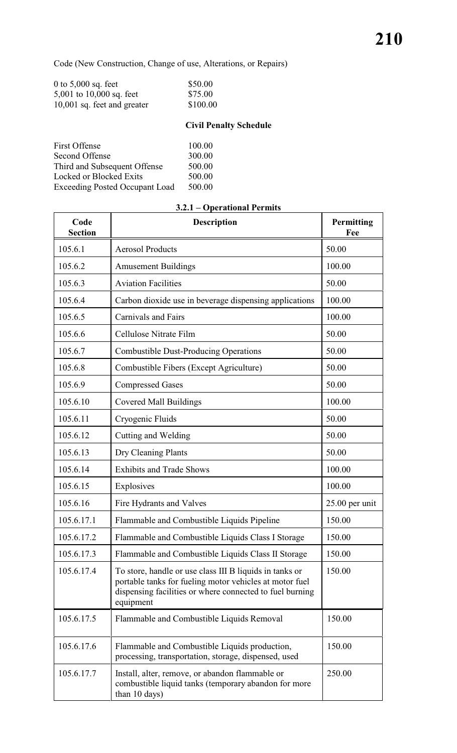h

Code (New Construction, Change of use, Alterations, or Repairs)

| 0 to $5,000$ sq. feet         | \$50.00  |
|-------------------------------|----------|
| 5,001 to $10,000$ sq. feet    | \$75.00  |
| $10,001$ sq. feet and greater | \$100.00 |

# **Civil Penalty Schedule**

| <b>First Offense</b>                  | 100.00 |
|---------------------------------------|--------|
| Second Offense                        | 300.00 |
| Third and Subsequent Offense          | 500.00 |
| Locked or Blocked Exits               | 500.00 |
| <b>Exceeding Posted Occupant Load</b> | 500.00 |

 $\mathbf{r}$ 

| Code<br><b>Section</b> | <b>Description</b>                                                                                                                                                                          | Permitting<br>Fee |
|------------------------|---------------------------------------------------------------------------------------------------------------------------------------------------------------------------------------------|-------------------|
| 105.6.1                | <b>Aerosol Products</b>                                                                                                                                                                     | 50.00             |
| 105.6.2                | <b>Amusement Buildings</b>                                                                                                                                                                  | 100.00            |
| 105.6.3                | <b>Aviation Facilities</b>                                                                                                                                                                  | 50.00             |
| 105.6.4                | Carbon dioxide use in beverage dispensing applications                                                                                                                                      | 100.00            |
| 105.6.5                | <b>Carnivals and Fairs</b>                                                                                                                                                                  | 100.00            |
| 105.6.6                | Cellulose Nitrate Film                                                                                                                                                                      | 50.00             |
| 105.6.7                | <b>Combustible Dust-Producing Operations</b>                                                                                                                                                | 50.00             |
| 105.6.8                | Combustible Fibers (Except Agriculture)                                                                                                                                                     | 50.00             |
| 105.6.9                | <b>Compressed Gases</b>                                                                                                                                                                     | 50.00             |
| 105.6.10               | <b>Covered Mall Buildings</b>                                                                                                                                                               | 100.00            |
| 105.6.11               | Cryogenic Fluids                                                                                                                                                                            | 50.00             |
| 105.6.12               | Cutting and Welding                                                                                                                                                                         | 50.00             |
| 105.6.13               | Dry Cleaning Plants                                                                                                                                                                         | 50.00             |
| 105.6.14               | <b>Exhibits and Trade Shows</b>                                                                                                                                                             | 100.00            |
| 105.6.15               | Explosives                                                                                                                                                                                  | 100.00            |
| 105.6.16               | Fire Hydrants and Valves                                                                                                                                                                    | $25.00$ per unit  |
| 105.6.17.1             | Flammable and Combustible Liquids Pipeline                                                                                                                                                  | 150.00            |
| 105.6.17.2             | Flammable and Combustible Liquids Class I Storage                                                                                                                                           | 150.00            |
| 105.6.17.3             | Flammable and Combustible Liquids Class II Storage                                                                                                                                          | 150.00            |
| 105.6.17.4             | To store, handle or use class III B liquids in tanks or<br>portable tanks for fueling motor vehicles at motor fuel<br>dispensing facilities or where connected to fuel burning<br>equipment | 150.00            |
| 105.6.17.5             | Flammable and Combustible Liquids Removal                                                                                                                                                   | 150.00            |
| 105.6.17.6             | Flammable and Combustible Liquids production,<br>processing, transportation, storage, dispensed, used                                                                                       | 150.00            |
| 105.6.17.7             | Install, alter, remove, or abandon flammable or<br>combustible liquid tanks (temporary abandon for more<br>than 10 days)                                                                    | 250.00            |

# **3.2.1 – Operational Permits**

 $\overline{\phantom{a}}$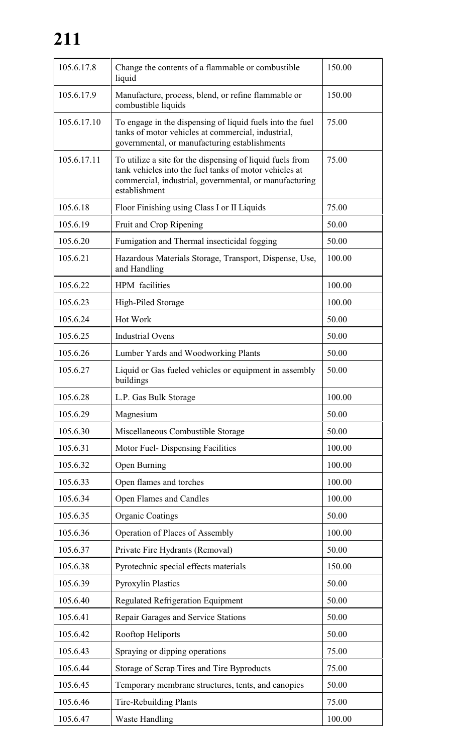# **211**

| 105.6.17.8  | Change the contents of a flammable or combustible<br>liquid                                                                                                                                    | 150.00 |
|-------------|------------------------------------------------------------------------------------------------------------------------------------------------------------------------------------------------|--------|
| 105.6.17.9  | Manufacture, process, blend, or refine flammable or<br>combustible liquids                                                                                                                     | 150.00 |
| 105.6.17.10 | To engage in the dispensing of liquid fuels into the fuel<br>tanks of motor vehicles at commercial, industrial,<br>governmental, or manufacturing establishments                               | 75.00  |
| 105.6.17.11 | To utilize a site for the dispensing of liquid fuels from<br>tank vehicles into the fuel tanks of motor vehicles at<br>commercial, industrial, governmental, or manufacturing<br>establishment | 75.00  |
| 105.6.18    | Floor Finishing using Class I or II Liquids                                                                                                                                                    | 75.00  |
| 105.6.19    | Fruit and Crop Ripening                                                                                                                                                                        | 50.00  |
| 105.6.20    | Fumigation and Thermal insecticidal fogging                                                                                                                                                    | 50.00  |
| 105.6.21    | Hazardous Materials Storage, Transport, Dispense, Use,<br>and Handling                                                                                                                         | 100.00 |
| 105.6.22    | HPM facilities                                                                                                                                                                                 | 100.00 |
| 105.6.23    | High-Piled Storage                                                                                                                                                                             | 100.00 |
| 105.6.24    | Hot Work                                                                                                                                                                                       | 50.00  |
| 105.6.25    | <b>Industrial Ovens</b>                                                                                                                                                                        | 50.00  |
| 105.6.26    | Lumber Yards and Woodworking Plants                                                                                                                                                            | 50.00  |
| 105.6.27    | Liquid or Gas fueled vehicles or equipment in assembly<br>buildings                                                                                                                            | 50.00  |
| 105.6.28    | L.P. Gas Bulk Storage                                                                                                                                                                          | 100.00 |
| 105.6.29    | Magnesium                                                                                                                                                                                      | 50.00  |
| 105.6.30    | Miscellaneous Combustible Storage                                                                                                                                                              | 50.00  |
| 105.6.31    | Motor Fuel-Dispensing Facilities                                                                                                                                                               | 100.00 |
| 105.6.32    | Open Burning                                                                                                                                                                                   | 100.00 |
| 105.6.33    | Open flames and torches                                                                                                                                                                        | 100.00 |
| 105.6.34    | Open Flames and Candles                                                                                                                                                                        | 100.00 |
| 105.6.35    | <b>Organic Coatings</b>                                                                                                                                                                        | 50.00  |
| 105.6.36    | Operation of Places of Assembly                                                                                                                                                                | 100.00 |
| 105.6.37    | Private Fire Hydrants (Removal)                                                                                                                                                                | 50.00  |
| 105.6.38    | Pyrotechnic special effects materials                                                                                                                                                          | 150.00 |
| 105.6.39    | <b>Pyroxylin Plastics</b>                                                                                                                                                                      | 50.00  |
| 105.6.40    | <b>Regulated Refrigeration Equipment</b>                                                                                                                                                       | 50.00  |
| 105.6.41    | Repair Garages and Service Stations                                                                                                                                                            | 50.00  |
| 105.6.42    | Rooftop Heliports                                                                                                                                                                              | 50.00  |
| 105.6.43    | Spraying or dipping operations                                                                                                                                                                 | 75.00  |
| 105.6.44    | Storage of Scrap Tires and Tire Byproducts                                                                                                                                                     | 75.00  |
| 105.6.45    | Temporary membrane structures, tents, and canopies                                                                                                                                             | 50.00  |
| 105.6.46    | <b>Tire-Rebuilding Plants</b>                                                                                                                                                                  | 75.00  |
| 105.6.47    | <b>Waste Handling</b>                                                                                                                                                                          | 100.00 |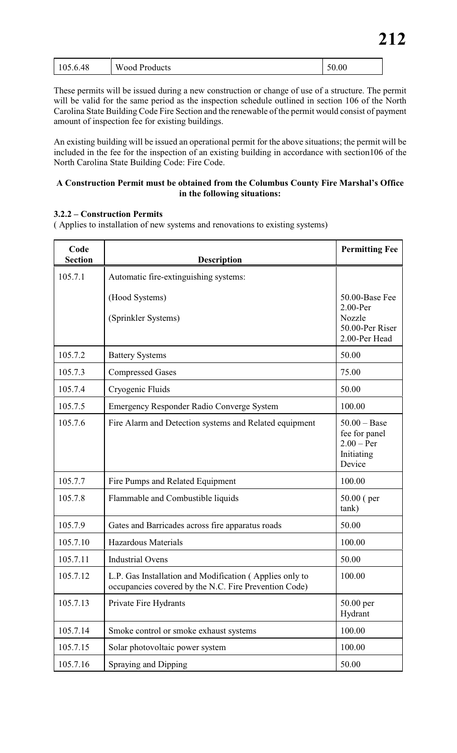| 50.00<br>105.6.48<br><b>Wood Products</b> |
|-------------------------------------------|
|-------------------------------------------|

These permits will be issued during a new construction or change of use of a structure. The permit will be valid for the same period as the inspection schedule outlined in section 106 of the North Carolina State Building Code Fire Section and the renewable of the permit would consist of payment amount of inspection fee for existing buildings.

An existing building will be issued an operational permit for the above situations; the permit will be included in the fee for the inspection of an existing building in accordance with section106 of the North Carolina State Building Code: Fire Code.

# **A Construction Permit must be obtained from the Columbus County Fire Marshal's Office in the following situations:**

# **3.2.2 – Construction Permits**

( Applies to installation of new systems and renovations to existing systems)

| Code<br><b>Section</b> | <b>Description</b>                                                                                               | <b>Permitting Fee</b>                                                       |
|------------------------|------------------------------------------------------------------------------------------------------------------|-----------------------------------------------------------------------------|
| 105.7.1                | Automatic fire-extinguishing systems:                                                                            |                                                                             |
|                        | (Hood Systems)<br>(Sprinkler Systems)                                                                            | 50.00-Base Fee<br>$2.00$ -Per<br>Nozzle<br>50.00-Per Riser<br>2.00-Per Head |
| 105.7.2                | <b>Battery Systems</b>                                                                                           | 50.00                                                                       |
| 105.7.3                | <b>Compressed Gases</b>                                                                                          | 75.00                                                                       |
| 105.7.4                | Cryogenic Fluids                                                                                                 | 50.00                                                                       |
| 105.7.5                | Emergency Responder Radio Converge System                                                                        | 100.00                                                                      |
| 105.7.6                | Fire Alarm and Detection systems and Related equipment                                                           | $50.00 - Base$<br>fee for panel<br>$2.00 - Per$<br>Initiating<br>Device     |
| 105.7.7                | Fire Pumps and Related Equipment                                                                                 | 100.00                                                                      |
| 105.7.8                | Flammable and Combustible liquids                                                                                | $50.00$ (per<br>tank)                                                       |
| 105.7.9                | Gates and Barricades across fire apparatus roads                                                                 | 50.00                                                                       |
| 105.7.10               | <b>Hazardous Materials</b>                                                                                       | 100.00                                                                      |
| 105.7.11               | <b>Industrial Ovens</b>                                                                                          | 50.00                                                                       |
| 105.7.12               | L.P. Gas Installation and Modification (Applies only to<br>occupancies covered by the N.C. Fire Prevention Code) | 100.00                                                                      |
| 105.7.13               | Private Fire Hydrants                                                                                            | 50.00 per<br>Hydrant                                                        |
| 105.7.14               | Smoke control or smoke exhaust systems                                                                           | 100.00                                                                      |
| 105.7.15               | Solar photovoltaic power system                                                                                  | 100.00                                                                      |
| 105.7.16               | Spraying and Dipping                                                                                             | 50.00                                                                       |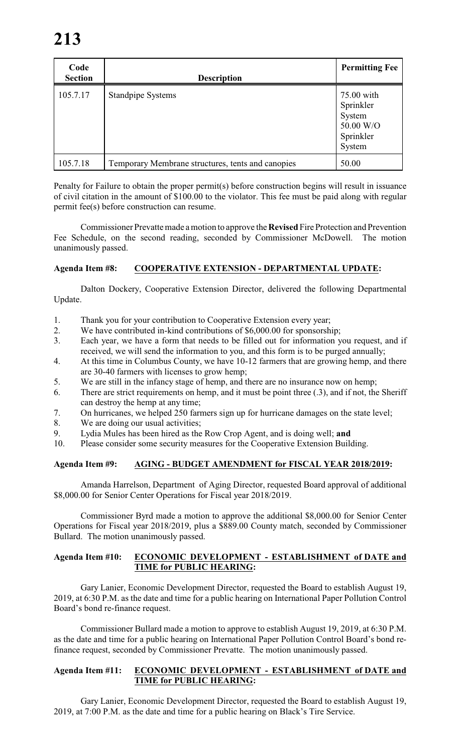| Code<br><b>Section</b> | <b>Description</b>                                | <b>Permitting Fee</b>                                                 |
|------------------------|---------------------------------------------------|-----------------------------------------------------------------------|
| 105.7.17               | Standpipe Systems                                 | 75.00 with<br>Sprinkler<br>System<br>50.00 W/O<br>Sprinkler<br>System |
| 105.7.18               | Temporary Membrane structures, tents and canopies | 50.00                                                                 |

Penalty for Failure to obtain the proper permit(s) before construction begins will result in issuance of civil citation in the amount of \$100.00 to the violator. This fee must be paid along with regular permit fee(s) before construction can resume.

Commissioner Prevatte made a motion to approve the **Revised** Fire Protection and Prevention Fee Schedule, on the second reading, seconded by Commissioner McDowell. The motion unanimously passed.

# **Agenda Item #8: COOPERATIVE EXTENSION - DEPARTMENTAL UPDATE:**

Dalton Dockery, Cooperative Extension Director, delivered the following Departmental Update.

- 1. Thank you for your contribution to Cooperative Extension every year;
- 2. We have contributed in-kind contributions of \$6,000.00 for sponsorship;<br>3. Each vear, we have a form that needs to be filled out for information v
- Each year, we have a form that needs to be filled out for information you request, and if received, we will send the information to you, and this form is to be purged annually;
- 4. At this time in Columbus County, we have 10-12 farmers that are growing hemp, and there are 30-40 farmers with licenses to grow hemp;
- 5. We are still in the infancy stage of hemp, and there are no insurance now on hemp;
- 6. There are strict requirements on hemp, and it must be point three (.3), and if not, the Sheriff can destroy the hemp at any time;
- 7. On hurricanes, we helped 250 farmers sign up for hurricane damages on the state level;
- 8. We are doing our usual activities;
- 9. Lydia Mules has been hired as the Row Crop Agent, and is doing well; **and**
- 10. Please consider some security measures for the Cooperative Extension Building.

# **Agenda Item #9: AGING - BUDGET AMENDMENT for FISCAL YEAR 2018/2019:**

Amanda Harrelson, Department of Aging Director, requested Board approval of additional \$8,000.00 for Senior Center Operations for Fiscal year 2018/2019.

Commissioner Byrd made a motion to approve the additional \$8,000.00 for Senior Center Operations for Fiscal year 2018/2019, plus a \$889.00 County match, seconded by Commissioner Bullard. The motion unanimously passed.

# **Agenda Item #10: ECONOMIC DEVELOPMENT - ESTABLISHMENT of DATE and TIME for PUBLIC HEARING:**

Gary Lanier, Economic Development Director, requested the Board to establish August 19, 2019, at 6:30 P.M. as the date and time for a public hearing on International Paper Pollution Control Board's bond re-finance request.

Commissioner Bullard made a motion to approve to establish August 19, 2019, at 6:30 P.M. as the date and time for a public hearing on International Paper Pollution Control Board's bond refinance request, seconded by Commissioner Prevatte. The motion unanimously passed.

# **Agenda Item #11: ECONOMIC DEVELOPMENT - ESTABLISHMENT of DATE and TIME for PUBLIC HEARING:**

Gary Lanier, Economic Development Director, requested the Board to establish August 19, 2019, at 7:00 P.M. as the date and time for a public hearing on Black's Tire Service.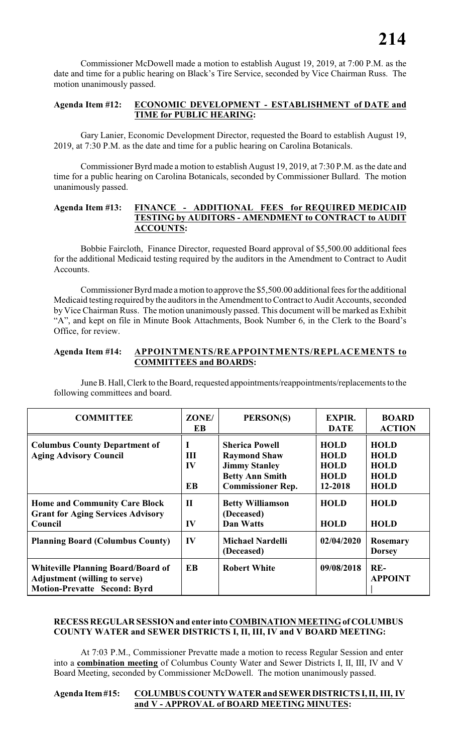Commissioner McDowell made a motion to establish August 19, 2019, at 7:00 P.M. as the date and time for a public hearing on Black's Tire Service, seconded by Vice Chairman Russ. The motion unanimously passed.

# **Agenda Item #12: ECONOMIC DEVELOPMENT - ESTABLISHMENT of DATE and TIME for PUBLIC HEARING:**

Gary Lanier, Economic Development Director, requested the Board to establish August 19, 2019, at 7:30 P.M. as the date and time for a public hearing on Carolina Botanicals.

Commissioner Byrd made a motion to establish August 19, 2019, at 7:30 P.M. as the date and time for a public hearing on Carolina Botanicals, seconded by Commissioner Bullard. The motion unanimously passed.

# **Agenda Item #13: FINANCE - ADDITIONAL FEES for REQUIRED MEDICAID TESTING by AUDITORS - AMENDMENT to CONTRACT to AUDIT ACCOUNTS:**

Bobbie Faircloth, Finance Director, requested Board approval of \$5,500.00 additional fees for the additional Medicaid testing required by the auditors in the Amendment to Contract to Audit Accounts.

Commissioner Byrd made a motion to approve the \$5,500.00 additional fees for the additional Medicaid testing required by the auditors in the Amendment to Contract to Audit Accounts, seconded by Vice Chairman Russ. The motion unanimously passed. This document will be marked as Exhibit "A", and kept on file in Minute Book Attachments, Book Number 6, in the Clerk to the Board's Office, for review.

# **Agenda Item #14: APPOINTMENTS/REAPPOINTMENTS/REPLACEMENTS to COMMITTEES and BOARDS:**

June B. Hall, Clerk to the Board, requested appointments/reappointments/replacements to the following committees and board.

| <b>COMMITTEE</b>                                                                                                         | ZONE/<br>EB                        | PERSON(S)                                                                                                                  | <b>EXPIR.</b><br><b>DATE</b>                                        | <b>BOARD</b><br><b>ACTION</b>                                           |
|--------------------------------------------------------------------------------------------------------------------------|------------------------------------|----------------------------------------------------------------------------------------------------------------------------|---------------------------------------------------------------------|-------------------------------------------------------------------------|
| <b>Columbus County Department of</b><br><b>Aging Advisory Council</b>                                                    | $\bf{I}$<br>III<br>IV<br><b>EB</b> | <b>Sherica Powell</b><br><b>Raymond Shaw</b><br><b>Jimmy Stanley</b><br><b>Betty Ann Smith</b><br><b>Commissioner Rep.</b> | <b>HOLD</b><br><b>HOLD</b><br><b>HOLD</b><br><b>HOLD</b><br>12-2018 | <b>HOLD</b><br><b>HOLD</b><br><b>HOLD</b><br><b>HOLD</b><br><b>HOLD</b> |
| <b>Home and Community Care Block</b><br><b>Grant for Aging Services Advisory</b><br>Council                              | $\mathbf{I}$<br>IV                 | <b>Betty Williamson</b><br>(Deceased)<br><b>Dan Watts</b>                                                                  | <b>HOLD</b><br><b>HOLD</b>                                          | <b>HOLD</b><br><b>HOLD</b>                                              |
| <b>Planning Board (Columbus County)</b>                                                                                  | IV                                 | <b>Michael Nardelli</b><br>(Deceased)                                                                                      | 02/04/2020                                                          | Rosemary<br><b>Dorsey</b>                                               |
| <b>Whiteville Planning Board/Board of</b><br><b>Adjustment (willing to serve)</b><br><b>Motion-Prevatte Second: Byrd</b> | <b>EB</b>                          | <b>Robert White</b>                                                                                                        | 09/08/2018                                                          | $RE-$<br><b>APPOINT</b>                                                 |

# **RECESS REGULAR SESSION and enter into COMBINATION MEETING of COLUMBUS COUNTY WATER and SEWER DISTRICTS I, II, III, IV and V BOARD MEETING:**

At 7:03 P.M., Commissioner Prevatte made a motion to recess Regular Session and enter into a **combination meeting** of Columbus County Water and Sewer Districts I, II, III, IV and V Board Meeting, seconded by Commissioner McDowell. The motion unanimously passed.

# **Agenda Item #15: COLUMBUS COUNTY WATER and SEWER DISTRICTS I, II, III, IV and V - APPROVAL of BOARD MEETING MINUTES:**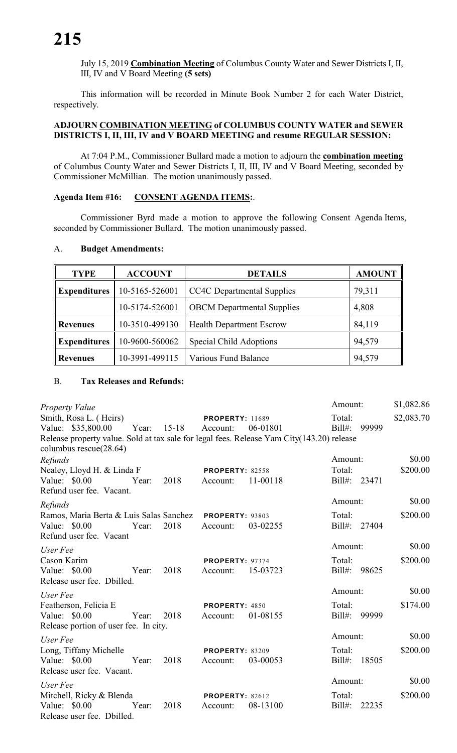July 15, 2019 **Combination Meeting** of Columbus County Water and Sewer Districts I, II, III, IV and V Board Meeting **(5 sets)**

This information will be recorded in Minute Book Number 2 for each Water District, respectively.

# **ADJOURN COMBINATION MEETING of COLUMBUS COUNTY WATER and SEWER DISTRICTS I, II, III, IV and V BOARD MEETING and resume REGULAR SESSION:**

At 7:04 P.M., Commissioner Bullard made a motion to adjourn the **combination meeting** of Columbus County Water and Sewer Districts I, II, III, IV and V Board Meeting, seconded by Commissioner McMillian. The motion unanimously passed.

# **Agenda Item #16: CONSENT AGENDA ITEMS:**.

Commissioner Byrd made a motion to approve the following Consent Agenda Items, seconded by Commissioner Bullard. The motion unanimously passed.

# A. **Budget Amendments:**

| <b>TYPE</b>         | <b>ACCOUNT</b> | <b>DETAILS</b>                    | <b>AMOUNT</b> |  |
|---------------------|----------------|-----------------------------------|---------------|--|
| <b>Expenditures</b> | 10-5165-526001 | <b>CC4C</b> Departmental Supplies | 79,311        |  |
|                     | 10-5174-526001 | <b>OBCM</b> Departmental Supplies | 4,808         |  |
| <b>Revenues</b>     | 10-3510-499130 | <b>Health Department Escrow</b>   | 84,119        |  |
| <b>Expenditures</b> | 10-9600-560062 | <b>Special Child Adoptions</b>    | 94,579        |  |
| <b>Revenues</b>     | 10-3991-499115 | Various Fund Balance              | 94,579        |  |

# B. **Tax Releases and Refunds:**

| Property Value                                                                                                        |       |           |                                    |          | Amount:             |              | \$1,082.86 |
|-----------------------------------------------------------------------------------------------------------------------|-------|-----------|------------------------------------|----------|---------------------|--------------|------------|
| Smith, Rosa L. (Heirs)<br>Value: \$35,800.00                                                                          | Year: | $15 - 18$ | <b>PROPERTY: 11689</b><br>Account: | 06-01801 | Total:<br>$Bill#$ : | 99999        | \$2,083.70 |
| Release property value. Sold at tax sale for legal fees. Release Yam City(143.20) release<br>columbus $rescue(28.64)$ |       |           |                                    |          |                     |              |            |
| Refunds                                                                                                               |       |           |                                    |          | Amount:             |              | \$0.00     |
| Nealey, Lloyd H. & Linda F                                                                                            |       |           | <b>PROPERTY: 82558</b>             |          | Total:              |              | \$200.00   |
| Value: \$0.00<br>Refund user fee. Vacant.                                                                             | Year: | 2018      | Account:                           | 11-00118 |                     | Bill#: 23471 |            |
| Refunds                                                                                                               |       |           |                                    |          | Amount:             |              | \$0.00     |
| Ramos, Maria Berta & Luis Salas Sanchez PROPERTY: 93803                                                               |       |           |                                    |          | Total:              |              | \$200.00   |
| Value: \$0.00<br>Refund user fee. Vacant                                                                              | Year: | 2018      | Account:                           | 03-02255 | $Bill#$ :           | 27404        |            |
| User Fee                                                                                                              |       |           |                                    |          | Amount:             |              | \$0.00     |
| Cason Karim                                                                                                           |       |           | PROPERTY: 97374                    |          | Total:              |              | \$200.00   |
| Value: \$0.00<br>Release user fee. Dbilled.                                                                           | Year: | 2018      | Account:                           | 15-03723 | $Bill#$ :           | 98625        |            |
| User Fee                                                                                                              |       |           |                                    |          | Amount:             |              | \$0.00     |
| Featherson, Felicia E                                                                                                 |       |           | PROPERTY: 4850                     |          | Total:              |              | \$174.00   |
| Value: \$0.00<br>Release portion of user fee. In city.                                                                | Year: | 2018      | Account:                           | 01-08155 | $Bill#$ :           | 99999        |            |
| User Fee                                                                                                              |       |           |                                    |          | Amount:             |              | \$0.00     |
| Long, Tiffany Michelle                                                                                                |       |           | <b>PROPERTY: 83209</b>             |          | Total:              |              | \$200.00   |
| Value: \$0.00<br>Release user fee. Vacant.                                                                            | Year: | 2018      | Account:                           | 03-00053 | $Bill#$ :           | 18505        |            |
| User Fee                                                                                                              |       |           |                                    |          | Amount:             |              | \$0.00     |
| Mitchell, Ricky & Blenda                                                                                              |       |           | <b>PROPERTY: 82612</b>             |          | Total:              |              | \$200.00   |
| Value: \$0.00<br>Release user fee. Dbilled.                                                                           | Year: | 2018      | Account:                           | 08-13100 | $Bill#$ :           | 22235        |            |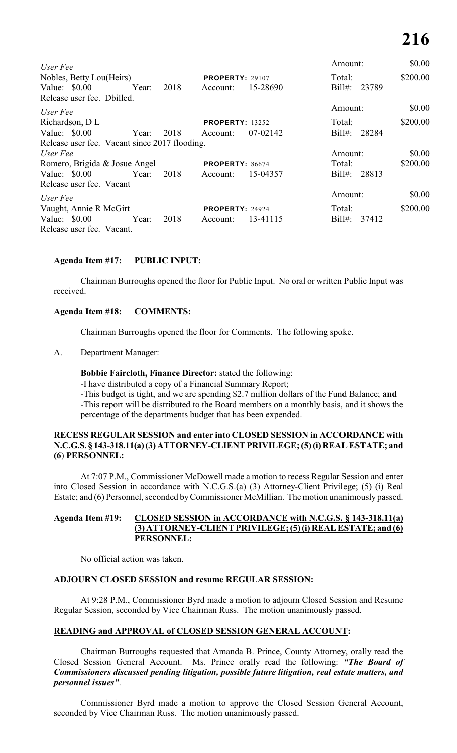|      |          |                                               | Amount:                                                                                              | \$0.00   |
|------|----------|-----------------------------------------------|------------------------------------------------------------------------------------------------------|----------|
|      |          |                                               | Total:                                                                                               | \$200.00 |
| 2018 | Account: | 15-28690                                      | $Bill#$ :<br>23789                                                                                   |          |
|      |          |                                               |                                                                                                      |          |
|      |          |                                               | Amount:                                                                                              | \$0.00   |
|      |          |                                               | Total:                                                                                               | \$200.00 |
| 2018 | Account: | 07-02142                                      | $Bill#$ :<br>28284                                                                                   |          |
|      |          |                                               |                                                                                                      |          |
|      |          |                                               | Amount:                                                                                              | \$0.00   |
|      |          |                                               | Total:                                                                                               | \$200.00 |
| 2018 | Account: | 15-04357                                      | $Bill#$ :<br>28813                                                                                   |          |
|      |          |                                               |                                                                                                      |          |
|      |          |                                               | Amount:                                                                                              | \$0.00   |
|      |          |                                               | Total:                                                                                               | \$200.00 |
| 2018 | Account: | 13-41115                                      | $Bill#$ :<br>37412                                                                                   |          |
|      |          |                                               |                                                                                                      |          |
|      |          | Release user fee. Vacant since 2017 flooding. | <b>PROPERTY: 29107</b><br><b>PROPERTY: 13252</b><br><b>PROPERTY: 86674</b><br><b>PROPERTY: 24924</b> |          |

# **Agenda Item #17: PUBLIC INPUT:**

Chairman Burroughs opened the floor for Public Input. No oral or written Public Input was received.

# **Agenda Item #18: COMMENTS:**

Chairman Burroughs opened the floor for Comments. The following spoke.

A. Department Manager:

# **Bobbie Faircloth, Finance Director:** stated the following:

-I have distributed a copy of a Financial Summary Report;

-This budget is tight, and we are spending \$2.7 million dollars of the Fund Balance; **and** -This report will be distributed to the Board members on a monthly basis, and it shows the percentage of the departments budget that has been expended.

# **RECESS REGULAR SESSION and enter into CLOSED SESSION in ACCORDANCE with N.C.G.S. § 143-318.11(a) (3) ATTORNEY-CLIENT PRIVILEGE; (5) (i) REAL ESTATE; and (6**) **PERSONNEL:**

At 7:07 P.M., Commissioner McDowell made a motion to recess Regular Session and enter into Closed Session in accordance with N.C.G.S.(a) (3) Attorney-Client Privilege; (5) (i) Real Estate; and (6) Personnel, seconded by Commissioner McMillian. The motion unanimously passed.

# **Agenda Item #19: CLOSED SESSION in ACCORDANCE with N.C.G.S. § 143-318.11(a) (3) ATTORNEY-CLIENT PRIVILEGE; (5) (i) REAL ESTATE; and (6) PERSONNEL:**

No official action was taken.

# **ADJOURN CLOSED SESSION and resume REGULAR SESSION:**

At 9:28 P.M., Commissioner Byrd made a motion to adjourn Closed Session and Resume Regular Session, seconded by Vice Chairman Russ. The motion unanimously passed.

# **READING and APPROVAL of CLOSED SESSION GENERAL ACCOUNT:**

Chairman Burroughs requested that Amanda B. Prince, County Attorney, orally read the Closed Session General Account. Ms. Prince orally read the following: *"The Board of Commissioners discussed pending litigation, possible future litigation, real estate matters, and personnel issues"*.

Commissioner Byrd made a motion to approve the Closed Session General Account, seconded by Vice Chairman Russ. The motion unanimously passed.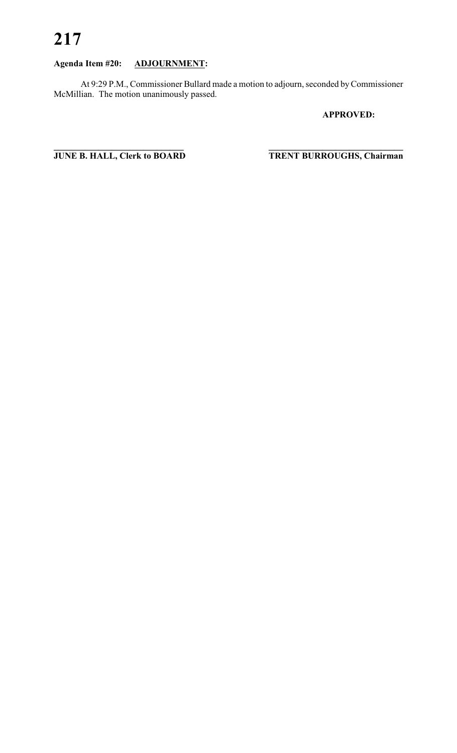# **217**

# **Agenda Item #20: ADJOURNMENT:**

At 9:29 P.M., Commissioner Bullard made a motion to adjourn, seconded by Commissioner McMillian. The motion unanimously passed.

# **APPROVED:**

**JUNE B. HALL, Clerk to BOARD** 

 $T$ **RENT BURROUGHS, Chairman**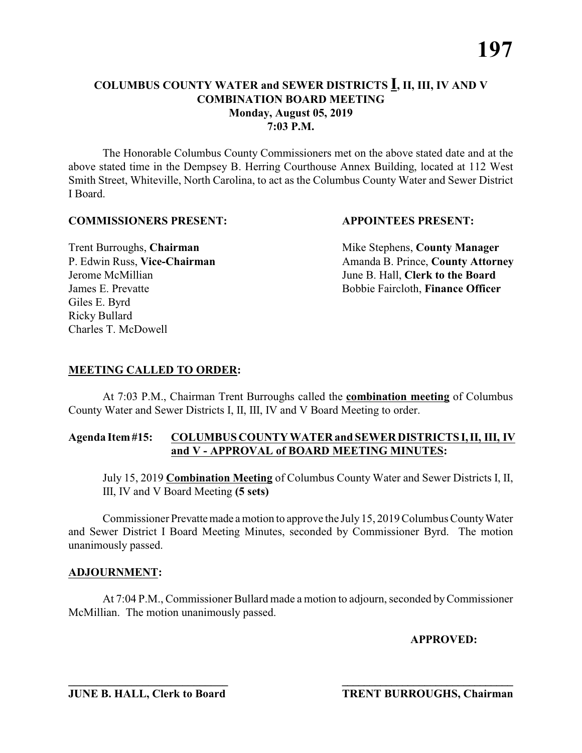The Honorable Columbus County Commissioners met on the above stated date and at the above stated time in the Dempsey B. Herring Courthouse Annex Building, located at 112 West Smith Street, Whiteville, North Carolina, to act as the Columbus County Water and Sewer District I Board.

# **COMMISSIONERS PRESENT: APPOINTEES PRESENT:**

Giles E. Byrd Ricky Bullard Charles T. McDowell

**Trent Burroughs, Chairman** Mike Stephens, **County Manager** P. Edwin Russ, Vice-Chairman Amanda B. Prince, County Attorney Jerome McMillian June B. Hall, **Clerk to the Board** James E. Prevatte Bobbie Faircloth, **Finance Officer**

# **MEETING CALLED TO ORDER:**

At 7:03 P.M., Chairman Trent Burroughs called the **combination meeting** of Columbus County Water and Sewer Districts I, II, III, IV and V Board Meeting to order.

# **Agenda Item #15: COLUMBUS COUNTY WATER and SEWER DISTRICTS I, II, III, IV and V - APPROVAL of BOARD MEETING MINUTES:**

July 15, 2019 **Combination Meeting** of Columbus County Water and Sewer Districts I, II, III, IV and V Board Meeting **(5 sets)**

Commissioner Prevatte made a motion to approve the July 15, 2019 Columbus County Water and Sewer District I Board Meeting Minutes, seconded by Commissioner Byrd. The motion unanimously passed.

# **ADJOURNMENT:**

At 7:04 P.M., Commissioner Bullard made a motion to adjourn, seconded by Commissioner McMillian. The motion unanimously passed.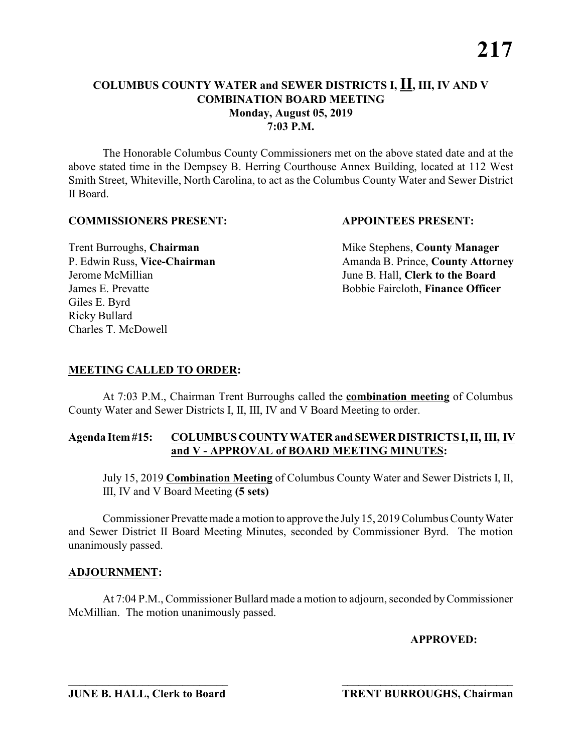The Honorable Columbus County Commissioners met on the above stated date and at the above stated time in the Dempsey B. Herring Courthouse Annex Building, located at 112 West Smith Street, Whiteville, North Carolina, to act as the Columbus County Water and Sewer District II Board.

# **COMMISSIONERS PRESENT: APPOINTEES PRESENT:**

Giles E. Byrd Ricky Bullard Charles T. McDowell

**Trent Burroughs, Chairman** Mike Stephens, **County Manager** P. Edwin Russ, Vice-Chairman Amanda B. Prince, County Attorney Jerome McMillian June B. Hall, **Clerk to the Board** James E. Prevatte Bobbie Faircloth, **Finance Officer**

# **MEETING CALLED TO ORDER:**

At 7:03 P.M., Chairman Trent Burroughs called the **combination meeting** of Columbus County Water and Sewer Districts I, II, III, IV and V Board Meeting to order.

# **Agenda Item #15: COLUMBUS COUNTY WATER and SEWER DISTRICTS I, II, III, IV and V - APPROVAL of BOARD MEETING MINUTES:**

July 15, 2019 **Combination Meeting** of Columbus County Water and Sewer Districts I, II, III, IV and V Board Meeting **(5 sets)**

Commissioner Prevatte made a motion to approve the July 15, 2019 Columbus County Water and Sewer District II Board Meeting Minutes, seconded by Commissioner Byrd. The motion unanimously passed.

# **ADJOURNMENT:**

At 7:04 P.M., Commissioner Bullard made a motion to adjourn, seconded by Commissioner McMillian. The motion unanimously passed.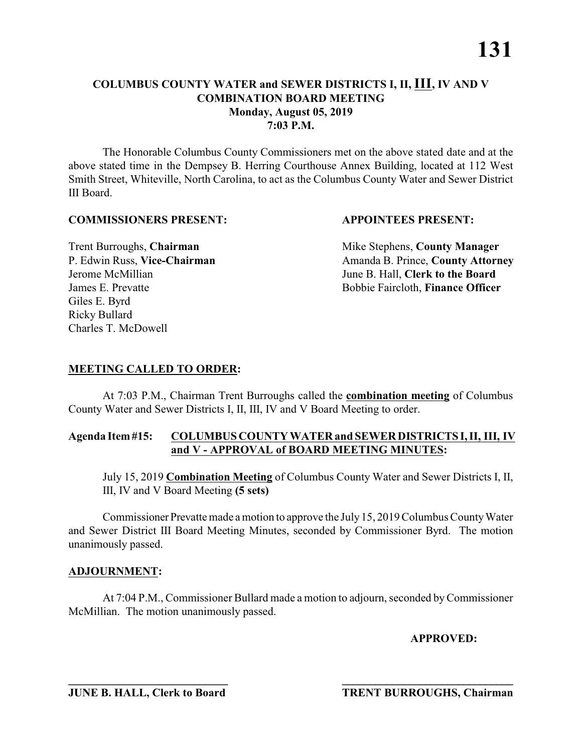The Honorable Columbus County Commissioners met on the above stated date and at the above stated time in the Dempsey B. Herring Courthouse Annex Building, located at 112 West Smith Street, Whiteville, North Carolina, to act as the Columbus County Water and Sewer District III Board.

# **COMMISSIONERS PRESENT: APPOINTEES PRESENT:**

Giles E. Byrd Ricky Bullard Charles T. McDowell

**Trent Burroughs, Chairman** Mike Stephens, **County Manager** P. Edwin Russ, Vice-Chairman Amanda B. Prince, County Attorney Jerome McMillian June B. Hall, **Clerk to the Board** James E. Prevatte Bobbie Faircloth, **Finance Officer** 

# **MEETING CALLED TO ORDER:**

At 7:03 P.M., Chairman Trent Burroughs called the **combination meeting** of Columbus County Water and Sewer Districts I, II, III, IV and V Board Meeting to order.

# **Agenda Item #15: COLUMBUS COUNTY WATER and SEWER DISTRICTS I, II, III, IV and V - APPROVAL of BOARD MEETING MINUTES:**

July 15, 2019 **Combination Meeting** of Columbus County Water and Sewer Districts I, II, III, IV and V Board Meeting **(5 sets)**

Commissioner Prevatte made a motion to approve the July 15, 2019 Columbus County Water and Sewer District III Board Meeting Minutes, seconded by Commissioner Byrd. The motion unanimously passed.

# **ADJOURNMENT:**

At 7:04 P.M., Commissioner Bullard made a motion to adjourn, seconded by Commissioner McMillian. The motion unanimously passed.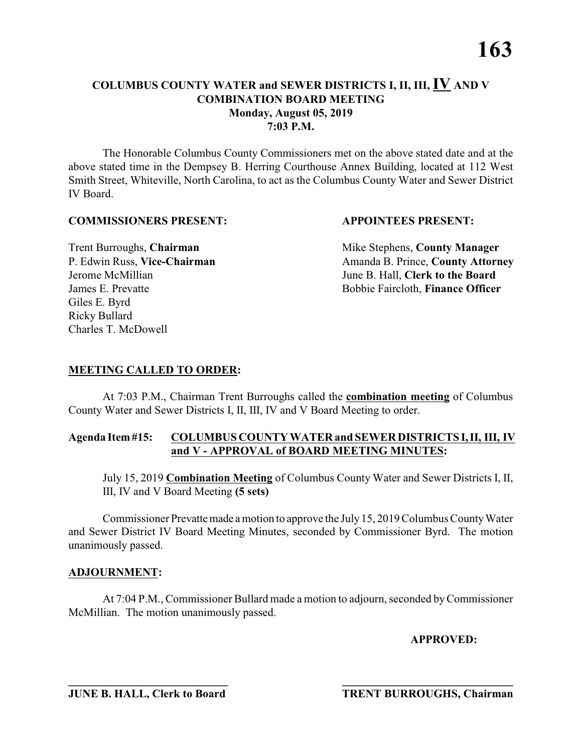The Honorable Columbus County Commissioners met on the above stated date and at the above stated time in the Dempsey B. Herring Courthouse Annex Building, located at 112 West Smith Street, Whiteville, North Carolina, to act as the Columbus County Water and Sewer District IV Board.

# **COMMISSIONERS PRESENT: APPOINTEES PRESENT:**

Giles E. Byrd Ricky Bullard Charles T. McDowell

Trent Burroughs, **Chairman** Mike Stephens, **County Manager**<br>
P. Edwin Russ, **Vice-Chairman** Management Amanda B. Prince, **County Attorn** P. Edwin Russ, **Vice-Chairman** Amanda B. Prince, **County Attorney** Jerome McMillian June B. Hall, **Clerk to the Board** James E. Prevatte Bobbie Faircloth, **Finance Officer**

# **MEETING CALLED TO ORDER:**

At 7:03 P.M., Chairman Trent Burroughs called the **combination meeting** of Columbus County Water and Sewer Districts I, II, III, IV and V Board Meeting to order.

# **Agenda Item #15: COLUMBUS COUNTY WATER and SEWER DISTRICTS I, II, III, IV and V - APPROVAL of BOARD MEETING MINUTES:**

July 15, 2019 **Combination Meeting** of Columbus County Water and Sewer Districts I, II, III, IV and V Board Meeting **(5 sets)**

Commissioner Prevatte made a motion to approve the July 15, 2019 Columbus County Water and Sewer District IV Board Meeting Minutes, seconded by Commissioner Byrd. The motion unanimously passed.

# **ADJOURNMENT:**

At 7:04 P.M., Commissioner Bullard made a motion to adjourn, seconded by Commissioner McMillian. The motion unanimously passed.